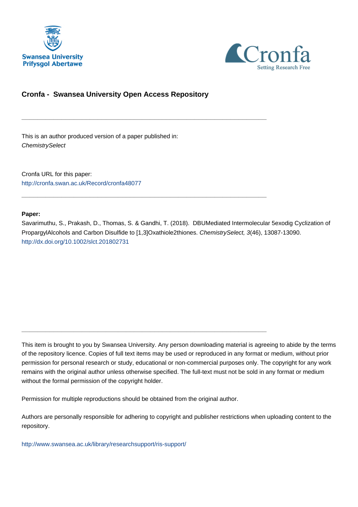



# **Cronfa - Swansea University Open Access Repository**

\_\_\_\_\_\_\_\_\_\_\_\_\_\_\_\_\_\_\_\_\_\_\_\_\_\_\_\_\_\_\_\_\_\_\_\_\_\_\_\_\_\_\_\_\_\_\_\_\_\_\_\_\_\_\_\_\_\_\_\_\_

\_\_\_\_\_\_\_\_\_\_\_\_\_\_\_\_\_\_\_\_\_\_\_\_\_\_\_\_\_\_\_\_\_\_\_\_\_\_\_\_\_\_\_\_\_\_\_\_\_\_\_\_\_\_\_\_\_\_\_\_\_

\_\_\_\_\_\_\_\_\_\_\_\_\_\_\_\_\_\_\_\_\_\_\_\_\_\_\_\_\_\_\_\_\_\_\_\_\_\_\_\_\_\_\_\_\_\_\_\_\_\_\_\_\_\_\_\_\_\_\_\_\_

This is an author produced version of a paper published in: **ChemistrySelect** 

Cronfa URL for this paper: <http://cronfa.swan.ac.uk/Record/cronfa48077>

## **Paper:**

Savarimuthu, S., Prakash, D., Thomas, S. & Gandhi, T. (2018). DBUMediated Intermolecular 5exodig Cyclization of PropargylAlcohols and Carbon Disulfide to [1,3]Oxathiole2thiones. ChemistrySelect, 3(46), 13087-13090. <http://dx.doi.org/10.1002/slct.201802731>

This item is brought to you by Swansea University. Any person downloading material is agreeing to abide by the terms of the repository licence. Copies of full text items may be used or reproduced in any format or medium, without prior permission for personal research or study, educational or non-commercial purposes only. The copyright for any work remains with the original author unless otherwise specified. The full-text must not be sold in any format or medium without the formal permission of the copyright holder.

Permission for multiple reproductions should be obtained from the original author.

Authors are personally responsible for adhering to copyright and publisher restrictions when uploading content to the repository.

[http://www.swansea.ac.uk/library/researchsupport/ris-support/](http://www.swansea.ac.uk/library/researchsupport/ris-support/ )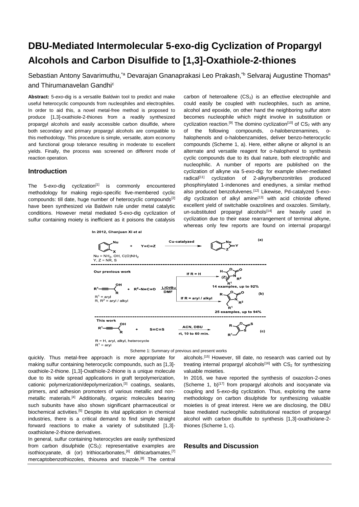# **DBU-Mediated Intermolecular 5-exo-dig Cyclization of Propargyl Alcohols and Carbon Disulfide to [1,3]-Oxathiole-2-thiones**

Sebastian Antony Savarimuthu,<sup>\*a</sup> Devarajan Gnanaprakasi Leo Prakash,<sup>\*b</sup> Selvaraj Augustine Thomas<sup>a</sup> and Thirumanavelan Gandhic

**Abstract:** 5-*exo*-dig is a versatile Baldwin tool to predict and make useful heterocyclic compounds from nucleophiles and electrophiles. In order to aid this, a novel metal-free method is proposed to produce [1,3]-oxathiole-2-thiones from a readily synthesized propargyl alcohols and easily accessible carbon disulfide, where both secondary and primary propargyl alcohols are compatible to this methodology. This procedure is simple, versatile, atom economy and functional group tolerance resulting in moderate to excellent yields. Finally, the process was screened on different mode of reaction operation.

#### **Introduction**

The 5-exo-dig cyclization<sup>[1]</sup> is commonly encountered methodology for making regio-specific five-membered cyclic compounds: till date, huge number of heterocyclic compounds[2] have been synthesized *via* Baldwin rule under metal catalytic conditions. However metal mediated 5-*exo*-dig cyclization of sulfur containing moiety is inefficient as it poisons the catalysis

In 2012, Chanjuan Xi et al

carbon of heteroallene  $(CS_2)$  is an effective electrophile and could easily be coupled with nucleophiles, such as amine, alcohol and epoxide, on other hand the neighboring sulfur atom becomes nucleophile which might involve in substitution or cyclization reaction.<sup>[9]</sup> The domino cyclization<sup>[10]</sup> of  $CS_2$  with any of the following compounds, o-halobenzenamines, ohalophenols and o-halobenzamides, deliver benzo-heterocyclic compounds (Scheme 1, a). Here, either alkyne or alkynol is an alternate and versatile reagent for o-halophenol to synthesis cyclic compounds due to its dual nature, both electrophilic and nucleophilic. A number of reports are published on the cyclization of alkyne via 5-*exo*-dig: for example silver-mediated radical<sup>[11]</sup> cyclization of 2-alkynylbenzonitriles produced phosphinylated 1-indenones and enediynes, a similar method also produced benzofulvenes.[12] Likewise, Pd-catalyzed 5-*exo*dig cyclization of alkyl amine<sup>[13]</sup> with acid chloride offered excellent yield of switchable oxazolines and oxazoles. Similarly, un-substituted propargyl alcohols<sup>[14]</sup> are heavily used in cyclization due to their ease rearrangement of terminal alkyne, whereas only few reports are found on internal propargyl





quickly. Thus metal-free approach is more appropriate for making sulfur containing heterocyclic compounds, such as [1,3] oxathiole-2-thione. [1,3]-Oxathiole-2-thione is a unique molecule due to its wide spread applications in graft terpolymerization, cationic polymerization/depolymerization,[3] coatings, sealants, primers, and adhesion promoters of various metallic and nonmetallic materials.<sup>[4]</sup> Additionally, organic molecules bearing such subunits have also shown significant pharmaceutical or biochemical activities.<sup>[5]</sup> Despite its vital application in chemical industries, there is a critical demand to find simple straight forward reactions to make a variety of substituted [1,3] oxathiolane-2-thione derivatives.

In general, sulfur containing heterocycles are easily synthesized from carbon disulphide  $(CS_2)$ : representative examples are isothiocyanate, di (or) trithiocarbonates.<sup>[6]</sup> dithicarbamates.<sup>[7]</sup> mercaptobenzothiozoles, thiourea and triazole.[8] The central alcohols.[15] However, till date, no research was carried out by treating internal propargyl alcohols<sup>[16]</sup> with  $CS<sub>2</sub>$  for synthesizing valuable moieties.

In 2016, we have reported the synthesis of oxazolon-2-ones (Scheme 1,  $b$ )<sup>[17]</sup> from propargyl alcohols and isocyanate via coupling and 5-*exo*-dig cyclization. Thus, exploring the same methodology on carbon disulphide for synthesizing valuable moieties is of great interest. Here we are disclosing, the DBU base mediated nucleophilic substitutional reaction of propargyl alcohol with carbon disulfide to synthesis [1,3]-oxathiolane-2 thiones (Scheme 1, c).

## **Results and Discussion**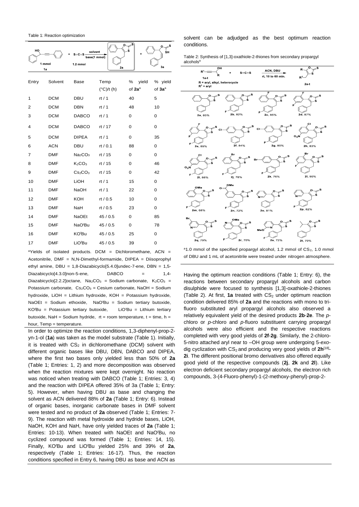Table 1: Reaction optimization

| HO<br>1 mmol<br>1a |            | solvent<br>$s = c = s$<br>base(1 mmol)<br>1.2 mmol | 2a                          | s                                | o<br>ŚΗ<br>3a                 |
|--------------------|------------|----------------------------------------------------|-----------------------------|----------------------------------|-------------------------------|
| Entry              | Solvent    | <b>Base</b>                                        | Temp<br>$(^{\circ}C)/t$ (h) | %<br>vield<br>of 2a <sup>a</sup> | % yield<br>of 3a <sup>a</sup> |
| 1                  | <b>DCM</b> | <b>DBU</b>                                         | rt/1                        | 40                               | 5                             |
| 2                  | <b>DCM</b> | <b>DBN</b>                                         | rt $/1$                     | 48                               | 10                            |
| 3                  | <b>DCM</b> | <b>DABCO</b>                                       | rt/1                        | 0                                | $\mathbf 0$                   |
| 4                  | <b>DCM</b> | <b>DABCO</b>                                       | rt / 17                     | 0                                | $\mathbf 0$                   |
| 5                  | <b>DCM</b> | <b>DIPEA</b>                                       | rt/1                        | 0                                | 35                            |
| 6                  | <b>ACN</b> | <b>DBU</b>                                         | rt / $0.1$                  | 88                               | $\mathbf 0$                   |
| 7                  | <b>DMF</b> | Na <sub>2</sub> CO <sub>3</sub>                    | rt / $15$                   | 0                                | $\mathbf 0$                   |
| 8                  | <b>DMF</b> | K <sub>2</sub> CO <sub>3</sub>                     | rt / 15                     | 0                                | 46                            |
| 9                  | <b>DMF</b> | Cs <sub>2</sub> CO <sub>3</sub>                    | rt / 15                     | 0                                | 42                            |
| 10                 | <b>DMF</b> | LIOH                                               | rt/1                        | 15                               | $\Omega$                      |
| 11                 | <b>DMF</b> | <b>NaOH</b>                                        | rt $/1$                     | 22                               | 0                             |
| 12                 | <b>DMF</b> | <b>KOH</b>                                         | rt / $0.5$                  | 10                               | $\mathbf 0$                   |
| 13                 | <b>DMF</b> | NaH                                                | rt / $0.5$                  | 23                               | $\mathbf 0$                   |
| 14                 | <b>DMF</b> | <b>NaOEt</b>                                       | 45/0.5                      | $\Omega$                         | 85                            |
| 15                 | <b>DMF</b> | NaO'Bu                                             | 45/0.5                      | 0                                | 78                            |
| 16                 | <b>DMF</b> | KO'Bu                                              | 45/0.5                      | 25                               | 0                             |
| 17                 | <b>DMF</b> | LiO'Bu                                             | 45/0.5                      | 39                               | 0                             |

<sup>a</sup>Yields of isolated products. DCM = Dichloromethane, ACN = Acetonitrile, DMF = N,N-Dimethyl-formamide, DIPEA = Diisoprophyl ethyl amine, DBU = 1,8-Diazabicyclo[5.4.0]undec-7-ene, DBN = 1,5- Diazabicyclo[4.3.0]non-5-ene,  $DABCO = 1,4-$ Diazabicyclo[2.2.2]octane, Na<sub>2</sub>CO<sub>3</sub> = Sodium carbonate, K<sub>2</sub>CO<sub>3</sub> = Potassium carbonate,  $Cs_2CO_3 = Cesium$  carbonate, NaOH = Sodium hydroxide, LiOH = Lithium hydroxide, KOH = Potassium hydroxide, NaOEt = Sodium ethoxide, NaO*<sup>t</sup>*Bu = Sodium tertiary butoxide, KO*<sup>t</sup>*Bu = Potassium tertiary butoxide, LiO*<sup>t</sup>*Bu = Lithium tertiary butoxide, NaH = Sodium hydride,  $rt =$  room temperature,  $t =$  time,  $h =$ hour, Temp = temperature.

In order to optimize the reaction conditions, 1,3-diphenyl-prop-2 yn-1-ol (**1a**) was taken as the model substrate (Table 1). Initially, it is treated with  $CS_2$  in dichloromethane (DCM) solvent with different organic bases like DBU, DBN, DABCO and DIPEA, where the first two bases only yielded less than 50% of **2a** (Table 1; Entries: 1, 2) and more decomposition was observed when the reaction mixtures were kept overnight. No reaction was noticed when treating with DABCO (Table 1; Entries: 3, 4) and the reaction with DIPEA offered 35% of 3a (Table 1; Entry: 5). However, when having DBU as base and changing the solvent as ACN delivered 88% of **2a** (Table 1; Entry: 6). Instead of organic bases, inorganic carbonate bases in DMF solvent were tested and no product of **2a** observed (Table 1; Entries: 7- 9). The reaction with metal hydroxide and hydride bases, LiOH, NaOH, KOH and NaH, have only yielded traces of **2a** (Table 1; Entries: 10-13). When treated with NaOEt and NaO*<sup>t</sup>*Bu, no cyclized compound was formed (Table 1; Entries: 14, 15). Finally, KO*<sup>t</sup>*Bu and LiO*<sup>t</sup>*Bu yielded 25% and 39% of **2a**, respectively (Table 1; Entries: 16-17). Thus, the reaction conditions specified in Entry 6, having DBU as base and ACN as solvent can be adjudged as the best optimum reaction conditions.

| Table 2: Synthesis of [1,3]-oxathiole-2-thiones from secondary propargyl |  |  |
|--------------------------------------------------------------------------|--|--|
| alcohols <sup>a</sup>                                                    |  |  |



 $a$ 1.0 mmol of the specified propargyl alcohol, 1.2 mmol of  $CS<sub>2</sub>$ , 1.0 mmol of DBU and 1 mL of acetonitrile were treated under nitrogen atmosphere.

Having the optimum reaction conditions (Table 1; Entry: 6), the reactions between secondary propargyl alcohols and carbon disulphide were focused to synthesis [1,3]-oxathiole-2-thiones (Table 2). At first, **1a** treated with  $CS<sub>2</sub>$  under optimum reaction condition delivered 85% of **2a** and the reactions with mono to trifluoro substituted aryl propargyl alcohols also observed a relatively equivalent yield of the desired products **2b**-**2e**. The *p*chloro or *p*-chloro and *p*-fluoro substituent carrying propargyl alcohols were also efficient and the respective reactions completed with very good yields of **2f**-**2g**. Similarly, the 2-chloro-5-nitro attached aryl near to –OH group were undergoing 5-*exo*dig cyclization with CS<sub>2</sub> and producing very good yields of 2h<sup>[18]</sup>-**2i**. The different positional bromo derivatives also offered equally good yield of the respective compounds (**2j**, **2k** and **2l**). Like electron deficient secondary propargyl alcohols, the electron rich compounds, 3-(4-Fluoro-phenyl)-1-(2-methoxy-phenyl)-prop-2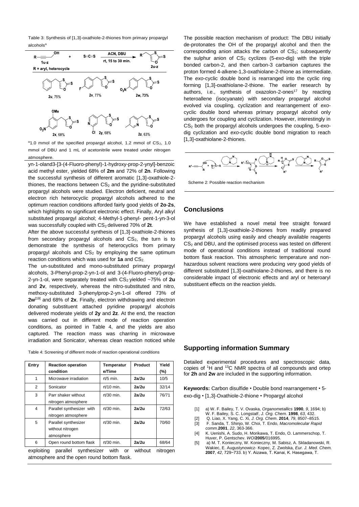Table 3: Synthesis of [1,3]-oxathiole-2-thiones from primary propargyl alcohols<sup>a</sup>



 $a$ 1.0 mmol of the specified propargyl alcohol, 1.2 mmol of CS<sub>2</sub>, 1.0 mmol of DBU and 1 mL of acetonitrile were treated under nitrogen atmosphere.

yn-1-oland3-[3-(4-Fluoro-phenyl)-1-hydroxy-prop-2-ynyl]-benzoic acid methyl ester, yielded 68% of **2m** and 72% of **2n**. Following the successful synthesis of different aromatic [1,3]-oxathiole-2 thiones, the reactions between  $CS<sub>2</sub>$  and the pyridine-substituted propargyl alcohols were studied. Electron deficient, neutral and electron rich heterocyclic propargyl alcohols adhered to the optimum reaction conditions afforded fairly good yields of **2o**-**2s**, which highlights no significant electronic effect. Finally, Aryl alkyl substituted propargyl alcohol; 4-Methyl-1-phenyl- pent-1-yn-3-ol was successfully coupled with CS<sub>2</sub> delivered 70% of 2t.

After the above successful synthesis of [1,3]-oxathiole-2-thiones from secondary propargyl alcohols and  $CS<sub>2</sub>$ , the turn is to demonstrate the synthesis of heterocyclics from primary propargyl alcohols and  $CS<sub>2</sub>$  by employing the same optimum reaction conditions which was used for 1a and CS<sub>2</sub>.

The un-substituted and mono-substituted primary propargyl alcohols, 3-Phenyl-prop-2-yn-1-ol and 3-(4-Fluoro-phenyl)-prop-2-yn-1-ol, were separately treated with  $CS_2$  yielded  $~\sim$ 75% of 2u and **2v**, respectively, whereas the nitro-substituted and nitro, methoxy-substituted 3-phenylprop-2-yn-1-ol offered 73% of **2w**[19] and 68% of **2x**. Finally, electron withdrawing and electron donating substituent attached pyridine propargyl alcohols delivered moderate yields of **2y** and **2z**. At the end, the reaction was carried out in different mode of reaction operation conditions, as pointed in Table 4, and the yields are also captured. The reaction mass was charring in microwave irradiation and Sonicator, whereas clean reaction noticed while

| Entry          | <b>Reaction operation</b><br>condition                 | Temperatur<br>e/Time | Product | Yield<br>(%) |
|----------------|--------------------------------------------------------|----------------------|---------|--------------|
| 1              | Microwave irradiation                                  | $rt/5$ min.          | 2a/2u   | 10/5         |
| $\overline{2}$ | Sonicator                                              | $rt/10$ min.         | 2a/2u   | 32/14        |
| 3              | Parr shaker without<br>nitrogen atmosphere             | $rt/30$ min.         | 2a/2u   | 76/71        |
| 4              | Parallel synthesizer with<br>nitrogen atmosphere       | $rt/30$ min.         | 2a/2u   | 72/63        |
| 5              | Parallel synthesizer<br>without nitrogen<br>atmosphere | $rt/30$ min.         | 2a/2u   | 70/60        |
| 6              | Open round bottom flask                                | $rt/30$ min.         | 2a/2u   | 68/64        |

exploiting parallel synthesizer with or without nitrogen atmosphere and the open round bottom flask.

The possible reaction mechanism of product: The DBU initially de-protonates the OH of the propargyl alcohol and then the corresponding anion attacks the carbon of  $CS<sub>2</sub>$ ; subsequently the sulphur anion of CS<sub>2</sub> cyclizes (5-exo-dig) with the triple bonded carbon-2, and then carbon-3 carbanion captures the proton formed 4-alkene-1,3-oxathiolane-2-thione as intermediate. The *exo*-cyclic double bond is rearranged into the cyclic ring forming [1,3]-oxathiolane-2-thione. The earlier research by authors, i.e., synthesis of oxazolon-2-ones<sup>17</sup> by reacting heteroallene (isocyanate) with secondary propargyl alcohol evolved via coupling, cyclization and rearrangement of *exo*cyclic double bond whereas primary propargyl alcohol only undergoes for coupling and cyclization. However, interestingly in CS<sup>2</sup> both the propargyl alcohols undergoes the coupling, 5-*exo*dig cyclization and *exo*-cyclic double bond migration to reach [1,3]-oxathiolane-2-thiones.



Scheme 2: Possible reaction mechanism

# **Conclusions**

We have established a novel metal free straight forward synthesis of [1,3]-oxathiole-2-thiones from readily prepared propargyl alcohols using easily and cheaply available reagents  $CS<sub>2</sub>$  and DBU, and the optimised process was tested on different mode of operational conditions instead of traditional round bottom flask reaction. This atmospheric temperature and nonhazardous solvent reactions were producing very good yields of different substituted [1,3]-oxathiolane-2-thiones, and there is no considerable impact of electronic effects and aryl or heteroaryl substituent effects on the reaction yields.

#### **Supporting information Summary**

Detailed experimental procedures and spectroscopic data, copies of <sup>1</sup>H and <sup>13</sup>C NMR spectra of all compounds and ortep for **2h** and **2w** are included in the supporting information.

**Keywords:** Carbon disulfide • Double bond rearrangement • 5 exo-dig • [1,3]-Oxathiole-2-thione • Propargyl alcohol

- [1] a) W. F. Bailey, T. V. Ovaska, *Organometallics* **1990**, *9*, 1694; b) W. F. Bailey, S. C. Longstaff, *J. Org. Chem*. **1998**, *63*, 432.
- [2] Q. Liao, X. Yang, C. Xi, *J. Org. Chem*. **2014**, *79*, 8507–8515.
- [3] F. Sanda, T. Shinjo, W. Choi, T. Endo, *Macromolecular Rapid comm*.**2001**, *22*, 363-366.
- [4] K. Uenishi, A. Sudo, H. Morikawa, T. Endo, O. Lammerschop, T. Huver, P. Gentschev. *WO*/**2005**/016995.
- [5] a) M. T. Konieczny, W. Konieczny, M. Sabisz, A. Skladanowski, R. Wakiec, E. Augustynowicz- Kopec, Z. Zwolska, *Eur. J. Med. Chem.*  **2007**, *42*, 729−733. b) Y. Aizawa, T. Kanai, K. Hasegawa, T.